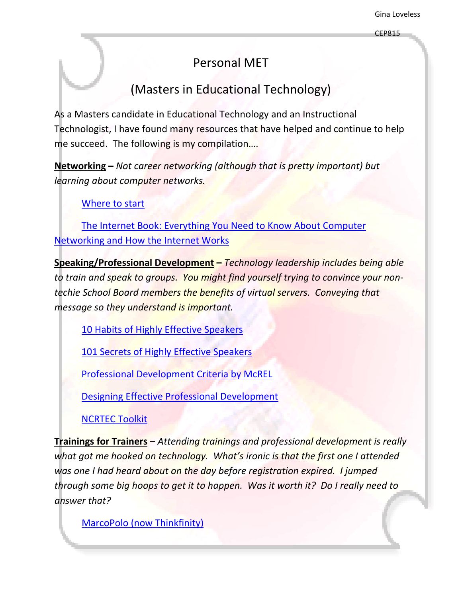## Personal MET

## (Masters in Educational Technology)

<span id="page-0-0"></span>As a Masters candidate in Educational Technology and an Instructional Technologist, I have found many resources that have helped and continue to help me succeed. The following is my compilation….

**Networking –** *Not career networking (although that is pretty important) but learning about computer networks.*

[Where](http://lowendmac.com/tech/net101.html) to start

The Internet Book: [Everything](http://www.amazon.com/Internet-Book-Everything-Computer-Networking/dp/0132335530) You Need to Know About Computer [Networking](http://www.amazon.com/Internet-Book-Everything-Computer-Networking/dp/0132335530) and How the Internet Works

**Speaking/Professional Development –** *Technology leadership includes being able to train and speak to groups. You might find yourself trying to convince your non‐ techie School Board members the benefits of virtual servers. Conveying that message so they understand is important.*

10 Habits of Highly Effective [Speakers](http://www.sun1001.com/public-speaking/12301.php)

101 Secrets of Highly Effective [Speakers](http://www.amazon.com/101-Secrets-Highly-Effective-Speakers/dp/1570232296/ref=pd_bbs_sr_1?ie=UTF8&s=books&qid=1206405726&sr=8-1)

Professional [Development](http://www.mcrel.org/PDF/ProfessionalDevelopment/6804TG_ProfDevelopCriteria.pdf) Criteria by McREL

Designing Effective Professional [Development](http://www.ed.gov/inits/teachers/eisenhower/index.html)

[NCRTEC](http://www.ncrtec.org/pd/index.html) Toolkit

**Trainings for Trainers –** *Attending trainings and professional development is really what got me hooked on technology. What's ironic is that the first one I attended was one I had heard about on the day before registration expired. I jumped through some big hoops to get it to happen. Was it worth it? Do I really need to answer that?*

MarcoPolo (now [Thinkfinity\)](http://www.thinkfinity.org/)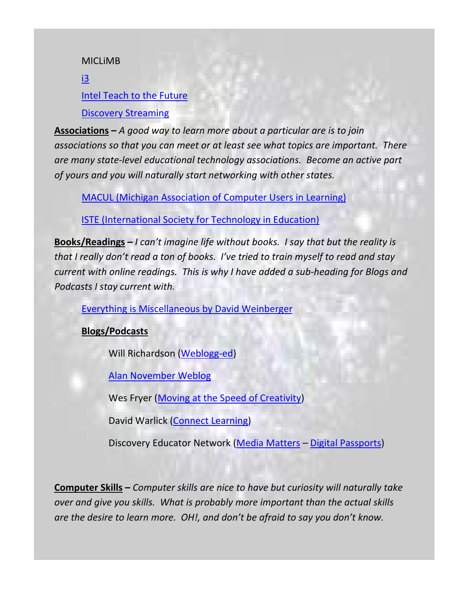MICLiMB

[i3](http://www.i3trainingservices.com/)

## Intel Teach to the [Future](http://www.intel.com/education/teach/)

Discovery [Streaming](http://streaming.discoveryeducation.com/index.cfm?)

**Associations –** *A good way to learn more about a particular are is to join associations so that you can meet or at least see what topics are important. There are many state‐level educational technology associations. Become an active part of yours and you will naturally start networking with other states.*

MACUL (Michigan [Association](http://www.macul.org/) of Computer Users in Learning)

ISTE [\(International](http://www.iste.org/) Society for Technology in Education)

**Books/Readings –** *I can't imagine life without books. I say that but the reality is that I really don't read a ton of books. I've tried to train myself to read and stay current with online readings. This is why I have added a sub‐heading for Blogs and Podcasts I stay current with.*

Everything is [Miscellaneous](http://www.amazon.com/Everything-Miscellaneous-Power-Digital-Disorder/dp/0805080430) by David Weinberger

**Blogs/Podcasts**

Will Richardson ([Weblogg](http://weblogg-ed.com/)-ed)

Alan [November](http://nlcommunities.com/communities/alannovember/default.aspx) Weblog

Wes Fryer (Moving at the Speed of [Creativity](http://www.speedofcreativity.org/))

David Warlick (Connect [Learning\)](http://davidwarlick.com/connectlearning/)

Discovery Educator Network (Media [Matters](http://blog.discoveryeducation.com/media_matters) – Digital [Passports](http://blog.discoveryeducation.com/digital_passports/))

**Computer Skills –** *Computer skills are nice to have but curiosity will naturally take over and give you skills. What is probably more important than the actual skills are the desire to learn more. OH!, and don't be afraid to say you don't know.*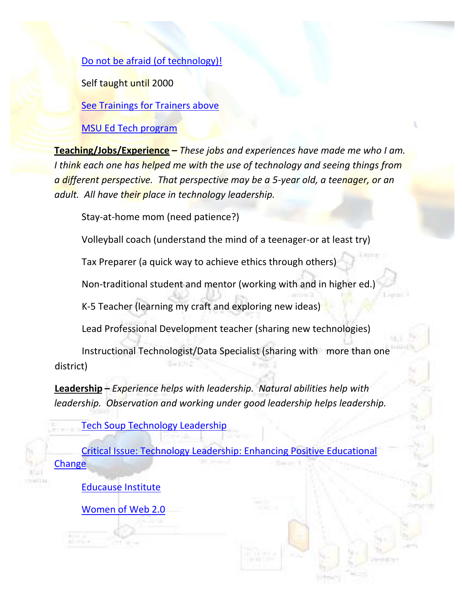Do not be afraid (of [technology\)!](http://www.techlearning.com/blog/2006/11/do_not_be_afraid.php)

Self taught until 2000

See [Trainings](#page-0-0) for Trainers above

MSU Ed Tech [program](http://edutech.msu.edu/)

**Teaching/Jobs/Experience –** *These jobs and experiences have made me who I am. I think each one has helped me with the use of technology and seeing things from a different perspective. That perspective may be a 5‐year old, a teenager, or an adult. All have their place in technology leadership.*

Stay‐at‐home mom (need patience?)

Volleyball coach (understand the mind of a teenager‐or at least try)

Tax Preparer (a quick way to achieve ethics through others)

Non‐traditional student and mentor (working with and in higher ed.)

K‐5 Teacher (learning my craft and exploring new ideas)

Lead Professional Development teacher (sharing new technologies)

Instructional Technologist/Data Specialist (sharing with more than one district)

**Leadership –** *Experience helps with leadership. Natural abilities help with leadership. Observation and working under good leadership helps leadership.*

Tech Soup [Technology](http://www.techsoup.org/learningcenter/techplan/page5360.cfm) Leadership

Critical Issue: Technology Leadership: Enhancing Positive [Educational](http://www.ncrel.org/sdrs/areas/issues/educatrs/leadrshp/le700.htm) **[Change](http://www.ncrel.org/sdrs/areas/issues/educatrs/leadrshp/le700.htm)** 

[Educause](http://www.educause.edu/content.asp?Section_ID=111) Institute

[Women](http://www.womenofweb2.com/) of Web 2.0